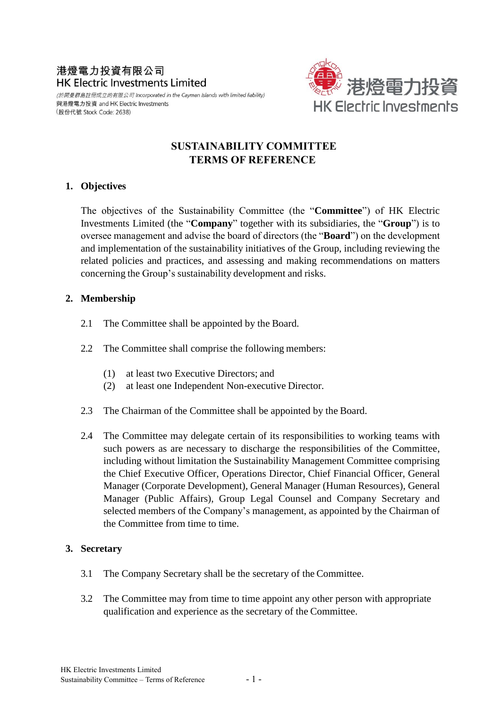# 港燈電力投資有限公司 **HK Electric Investments Limited**

(於開曼群島註冊成立的有限公司 Incorporated in the Cayman Islands with limited liability) 與港燈電力投資 and HK Electric Investments (股份代號 Stock Code: 2638)



# **SUSTAINABILITY COMMITTEE TERMS OF REFERENCE**

#### **1. Objectives**

The objectives of the Sustainability Committee (the "**Committee**") of HK Electric Investments Limited (the "**Company**" together with its subsidiaries, the "**Group**") is to oversee management and advise the board of directors (the "**Board**") on the development and implementation of the sustainability initiatives of the Group, including reviewing the related policies and practices, and assessing and making recommendations on matters concerning the Group's sustainability development and risks.

# **2. Membership**

- 2.1 The Committee shall be appointed by the Board.
- 2.2 The Committee shall comprise the following members:
	- (1) at least two Executive Directors; and
	- (2) at least one Independent Non-executive Director.
- 2.3 The Chairman of the Committee shall be appointed by the Board.
- 2.4 The Committee may delegate certain of its responsibilities to working teams with such powers as are necessary to discharge the responsibilities of the Committee, including without limitation the Sustainability Management Committee comprising the Chief Executive Officer, Operations Director, Chief Financial Officer, General Manager (Corporate Development), General Manager (Human Resources), General Manager (Public Affairs), Group Legal Counsel and Company Secretary and selected members of the Company's management, as appointed by the Chairman of the Committee from time to time.

#### **3. Secretary**

- 3.1 The Company Secretary shall be the secretary of the Committee.
- 3.2 The Committee may from time to time appoint any other person with appropriate qualification and experience as the secretary of the Committee.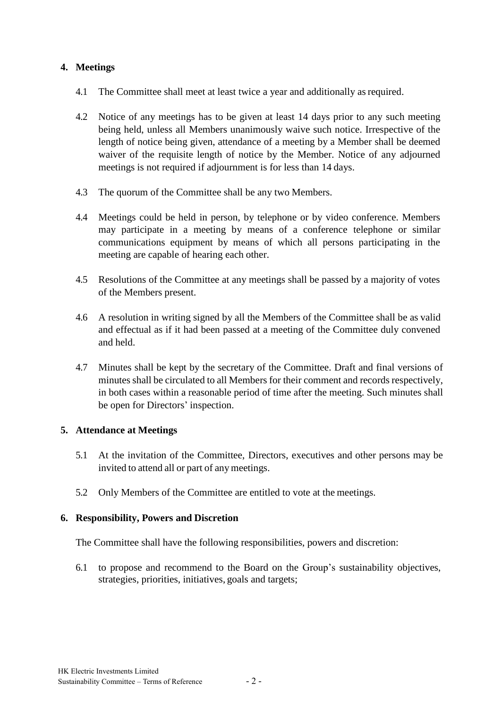# **4. Meetings**

- 4.1 The Committee shall meet at least twice a year and additionally as required.
- 4.2 Notice of any meetings has to be given at least 14 days prior to any such meeting being held, unless all Members unanimously waive such notice. Irrespective of the length of notice being given, attendance of a meeting by a Member shall be deemed waiver of the requisite length of notice by the Member. Notice of any adjourned meetings is not required if adjournment is for less than 14 days.
- 4.3 The quorum of the Committee shall be any two Members.
- 4.4 Meetings could be held in person, by telephone or by video conference. Members may participate in a meeting by means of a conference telephone or similar communications equipment by means of which all persons participating in the meeting are capable of hearing each other.
- 4.5 Resolutions of the Committee at any meetings shall be passed by a majority of votes of the Members present.
- 4.6 A resolution in writing signed by all the Members of the Committee shall be as valid and effectual as if it had been passed at a meeting of the Committee duly convened and held.
- 4.7 Minutes shall be kept by the secretary of the Committee. Draft and final versions of minutes shall be circulated to all Members for their comment and records respectively, in both cases within a reasonable period of time after the meeting. Such minutes shall be open for Directors' inspection.

#### **5. Attendance at Meetings**

- 5.1 At the invitation of the Committee, Directors, executives and other persons may be invited to attend all or part of any meetings.
- 5.2 Only Members of the Committee are entitled to vote at the meetings.

#### **6. Responsibility, Powers and Discretion**

The Committee shall have the following responsibilities, powers and discretion:

6.1 to propose and recommend to the Board on the Group's sustainability objectives, strategies, priorities, initiatives, goals and targets;